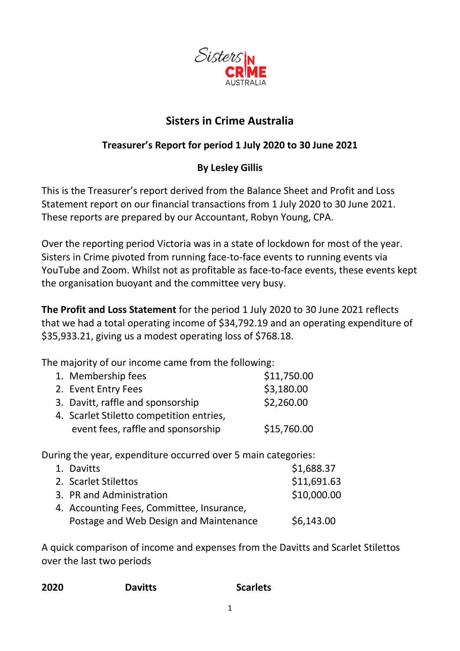

## **Sisters in Crime Australia**

## **Treasurer's Report for period 1 July 2020 to 30 June 2021**

## **By Lesley Gillis**

This is the Treasurer's report derived from the Balance Sheet and Profit and Loss Statement report on our financial transactions from 1 July 2020 to 30 June 2021. These reports are prepared by our Accountant, Robyn Young, CPA.

Over the reporting period Victoria was in a state of lockdown for most of the year. Sisters in Crime pivoted from running face-to-face events to running events via YouTube and Zoom. Whilst not as profitable as face-to-face events, these events kept the organisation buoyant and the committee very busy.

**The Profit and Loss Statement** for the period 1 July 2020 to 30 June 2021 reflects that we had a total operating income of \$34,792.19 and an operating expenditure of \$35,933.21, giving us a modest operating loss of \$768.18.

The majority of our income came from the following:

| 1. Membership fees                       | \$11,750.00 |
|------------------------------------------|-------------|
| 2. Event Entry Fees                      | \$3,180.00  |
| 3. Davitt, raffle and sponsorship        | \$2,260.00  |
| 4. Scarlet Stiletto competition entries, |             |
| event fees, raffle and sponsorship       | \$15,760.00 |

During the year, expenditure occurred over 5 main categories:

| 1. Davitts                                | \$1,688.37  |
|-------------------------------------------|-------------|
| 2. Scarlet Stilettos                      | \$11,691.63 |
| 3. PR and Administration                  | \$10,000.00 |
| 4. Accounting Fees, Committee, Insurance, |             |
| Postage and Web Design and Maintenance    | \$6,143.00  |

A quick comparison of income and expenses from the Davitts and Scarlet Stilettos over the last two periods

| <b>Scarlets</b> |
|-----------------|
|                 |